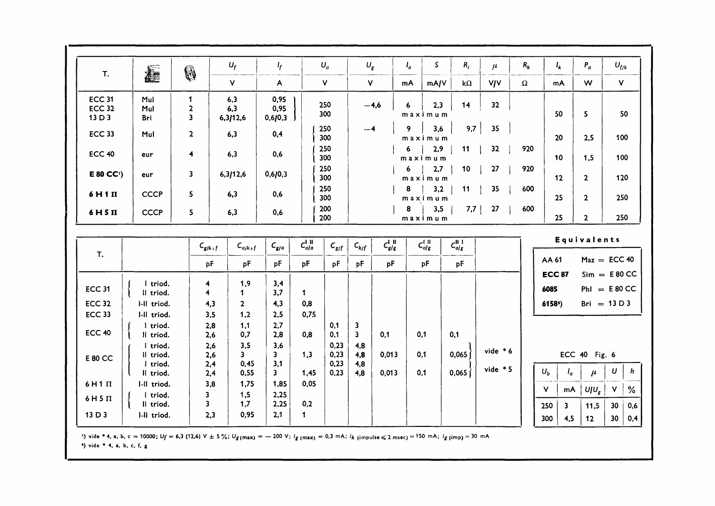| <b>T.</b>               | <b>Alle</b>             | \$                                      |                              | $U_f$           | $I_f$               |                            | $U_a$        | $U_g$        |               | $I_{q}$ | S.               | $R_i$          | $\mu$      | $R_k$    | $I_k$                                        | $P_a$          | $U_{f/k}$                           |
|-------------------------|-------------------------|-----------------------------------------|------------------------------|-----------------|---------------------|----------------------------|--------------|--------------|---------------|---------|------------------|----------------|------------|----------|----------------------------------------------|----------------|-------------------------------------|
|                         |                         |                                         |                              | $\mathsf{v}$    | A                   |                            | $\mathsf{V}$ | $\mathbf{V}$ |               | mA      | mA/V             | $k\Omega$      | <b>VIV</b> | $\Omega$ | mA                                           | W              | $\mathbf{V}$                        |
| <b>ECC 31</b>           | Mul                     | $\mathbf{1}$                            |                              | 6,3             | 0,95                |                            | 250          |              | $-4,6$        | 6       | 2,3              | 14             | 32         |          |                                              |                |                                     |
| <b>ECC 32</b><br>13 D 3 | Mul<br>Bri              | $\mathbf{2}$<br>$\overline{\mathbf{3}}$ |                              | 6,3<br>6,3/12,6 | 0,95<br>0,6/0,3     |                            | 300          |              |               |         | maximum          |                |            |          | 50                                           | 5              | 50                                  |
| <b>ECC 33</b>           | Mul                     | $\overline{2}$                          |                              | 6,3             | 0,4                 |                            | 250<br>300   | $-4$         |               | 9       | 3,6<br>maximum   | 9,7            | 35         |          | 20                                           | 2,5            | 100                                 |
| <b>ECC 40</b>           | eur                     | $\overline{4}$                          |                              | 6,3             | 0,6                 |                            | 250<br>300   |              |               | 6       | 2,9<br>maximum   | 11             | 32         | 920      | 10                                           | 1,5            | 100                                 |
| E 80 CC <sup>1</sup>    | eur                     | $\overline{\mathbf{3}}$                 |                              | 6,3/12,6        | 0,6/0,3             |                            | 250<br>300   |              |               | 6       | 2,7<br>maximum   | 10             | 27         | 920      | $12 \overline{ }$                            | $\overline{2}$ | 120                                 |
| 6H1II                   | <b>CCCP</b>             | 5                                       |                              | 6,3             | 0,6                 |                            | 250<br>300   |              |               | 8       | 3,2<br>maximum   | 11             | 35         | 600      | 25                                           | $\mathbf{2}$   | 250                                 |
| 6H5II                   | <b>CCCP</b>             | 5                                       |                              | 6,3             | 0,6                 |                            | 200<br>200   |              |               | 8       | 3,5<br>maximum   | 7,7            | 27         | 600      | 25                                           | $\overline{2}$ | 250                                 |
|                         |                         |                                         |                              |                 |                     |                            |              |              |               |         |                  |                |            |          |                                              | Equivalents    |                                     |
| T.                      |                         |                                         | $C_{g/k+f}$                  | $C_{a/k+1}$     | $C_{g/a}$           | $C_{a/a}^{1 \, \text{II}}$ | $C_{g/f}$    | $C_{k/f}$    | $C_{g/g}^{1}$ |         | $C_{alg}^{1,11}$ | $C_{a/g}^{II}$ |            |          |                                              |                |                                     |
|                         |                         |                                         | pF                           | рF              | pF                  | <b>DF</b>                  | <b>DF</b>    | ъF           | pF            |         | рF               | pF             |            |          | AA 61                                        |                | $Max = ECC 40$                      |
|                         | I triod.                |                                         | 4                            | 1,9             | 3,4                 |                            |              |              |               |         |                  |                |            |          | <b>ECC 87</b>                                |                | $Sim = E 80 CC$                     |
| <b>ECC 31</b>           | Il triod.               |                                         | 4                            | 1               | 3,7                 | $\mathbf 1$                |              |              |               |         |                  |                |            |          | 6085                                         |                | $PhI = E 80 CC$                     |
| <b>ECC 32</b>           | I-II triod.             |                                         | 4,3                          | $\mathbf{2}$    | 4,3                 | 0,8                        |              |              |               |         |                  |                |            |          | $61582$ )                                    |                | Bri = $13 D 3$                      |
| <b>ECC 33</b>           | I-Il triod.<br>I triod. |                                         | 3,5<br>2,8                   | 1,2<br>1,1      | 2,5<br>2,7          | 0,75                       | 0,1          | 3            |               |         |                  |                |            |          |                                              |                |                                     |
| <b>ECC 40</b>           | Il triod.               |                                         | 2,6                          | 0,7             | 2,8                 | 0,8                        | 0,1          | 3            | 0,1           |         | 0,1              | 0,1            |            |          |                                              |                |                                     |
| <b>E 80 CC</b>          | I triod.<br>Il triod.   |                                         | 2,6<br>2,6                   | 3,5<br>3        | 3,6<br>3            | 1,3                        | 0,23<br>0,23 | 4,8<br>4,8   | 0,013         |         | 0,1              | 0,065          | vide $*6$  |          |                                              | ECC 40 Fig. 6  |                                     |
|                         | I triod.<br>Il triod.   |                                         | 2,4<br>2,4                   | 0,45<br>0,55    | 3,1<br>$\mathbf{3}$ | 1,45                       | 0,23<br>0,23 | 4,8<br>4,8   | 0,013         |         | 0.1              | 0,065          | vide $*5$  |          | $U_b$                                        | $I_a$<br>$\mu$ | U<br>h                              |
| $6H1$ $\Pi$             | I-II triod.             |                                         | 3,8                          | 1,75            | 1,85                | 0.05                       |              |              |               |         |                  |                |            |          | $\mathsf{v}$<br>mA                           | $U/U_g$        | %<br>۷                              |
| $6H5\Pi$                | I triod.<br>Il triod.   |                                         | 3<br>$\overline{\mathbf{3}}$ | 1,5<br>1,7      | 2,25<br>2,25        | 0,2                        |              |              |               |         |                  |                |            |          |                                              |                |                                     |
| 13 D 3                  | I-II triod.             |                                         | 2,3                          | 0,95            | 2,1                 | $\mathbf 1$                |              |              |               |         |                  |                |            |          | $\overline{\mathbf{3}}$<br>250<br>300<br>4,5 | 11,5<br>12     | 30 <sub>o</sub><br>0,6<br>30<br>0,4 |

1) vide \* 4, a, b, c = 10000; Uf = 6,3 (12,6) V ± 5%; Ug(max) = - 200 V; Ig(max) = 0,3 mA; Ik(impulse ≤ 2 msec) = 150 mA; Ig(imp) = 30 mA

 $'$ ) vide \* 4, a, b, c, f, g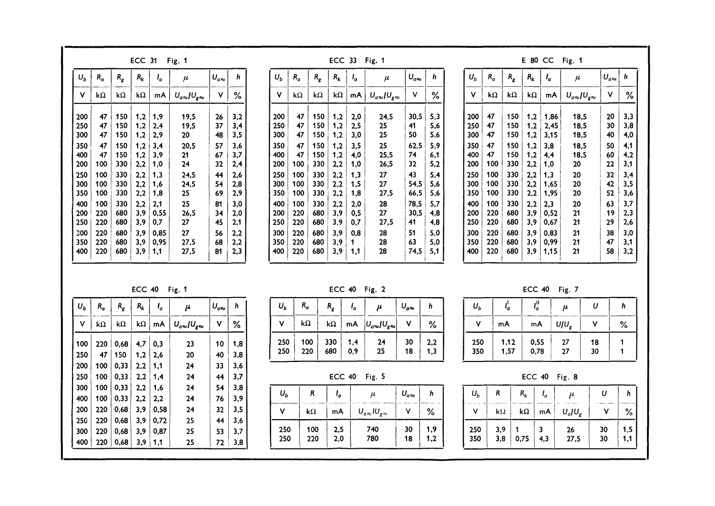| $U_b$<br>$R_a$           | $R_{R}$    |            |              |                             |               |            |            |                    |            |            |              | ECC 33 Fig. 1               |               |            |            |                    |            |                    |              | E 80 CC Fig. 1              |               |            |
|--------------------------|------------|------------|--------------|-----------------------------|---------------|------------|------------|--------------------|------------|------------|--------------|-----------------------------|---------------|------------|------------|--------------------|------------|--------------------|--------------|-----------------------------|---------------|------------|
|                          |            | $R_k$      | 'a           | $\mu$                       | $U_{a\infty}$ | h.         | $U_b$      | $R_a$              | $R_{g}$    | $R_k$      | $I_{\alpha}$ | $\mu$                       | $U_{a\infty}$ | h.         | $U_h$      | $R_a$              | $R_{g}$    | $R_k$              | $I_{a}$      | $\mu$                       | $U_{a\infty}$ | n          |
| V<br>$\mathbf{k}\Omega$  | k $\Omega$ | k $\Omega$ | mA           | $U_{a\approx}/U_{g\approx}$ | V             | $\%$       | ۷          | $\mathbf{k}\Omega$ | k $\Omega$ | kΩ         | mA           | $U_{a\approx}/U_{g\approx}$ | $\mathsf{V}$  | %          | V.         | $\mathbf{k}\Omega$ | k $\Omega$ | $\mathbf{k}\Omega$ | mA           | $U_{a\approx}/U_{g\approx}$ | $\mathbf{v}$  | %          |
| 200<br>47                | 150        | 1,2        | 1,9          | 19,5                        | 26            | 3,2        | 200        | 47                 | 150        | 1,2        | 2,0          | 24,5                        | 30,5          | 5,3        | 200        | 47                 | 150        | 1,2                | 1,86         | 18,5                        | 20            | 3,3        |
| 47<br>250<br>300<br>47   | 150<br>150 | 1,2<br>1,2 | 2,4<br>2,9   | 19,5<br>20                  | 37<br>48      | 3,4<br>3,5 | 250<br>300 | 47<br>47           | 150<br>150 | 1,2<br>1,2 | 2,5<br>3,0   | 25<br>25                    | 41<br>50      | 5,6<br>5,6 | 250<br>300 | 47<br>47           | 150<br>150 | 1,2<br>1,2         | 2,45<br>3,15 | 18,5<br>18.5                | 30<br>40      | 3,8<br>4,0 |
| 350<br>47                | 150        | 1,2        | 3,4          | 20,5                        | 57            | 3,6        | 350        | 47                 | 150        | 1,2        | 3,5          | 25                          | 62,5          | 5,9        | 350        | 47                 | 150        | 1,2                | 3,8          | 18.5                        | 50            | 4,1        |
| 400<br>47<br>100<br>200  | 150<br>330 | 1,2<br>2,2 | 3,9<br>1,0   | 21<br>24                    | 67<br>32      | 3,7<br>2,4 | 400<br>200 | 47<br>100          | 150<br>330 | 1,2<br>2,2 | 4,0<br>1,0   | 25,5<br>26,5                | 74<br>32      | 6,1<br>5,2 | 400<br>200 | 47<br>100          | 150<br>330 | 1,2<br>2,2         | 4,4<br>1.0   | 18,5<br>20                  | 60<br>22      | 4,2<br>3,1 |
| 100<br>250               | 330        | 2,2        | 1,3          | 24,5                        | 44            | 2,6        | 250        | 100                | 330        | 2,2        | 1,3          | 27                          | 43            | 5,4        | 250        | 100                | 330        | 2,2                | 1,3          | 20                          | 32            | 3,4        |
| 100<br>300               | 330        | 2,2        | 1,6          | 24,5                        | 54            | 2,8        | 300        | 100                | 330        | 2,2        | 1,5          | 27                          | 54,5          | 5,6        | 300        | 100                | 330        | 2,2                | 1,65         | 20                          | 42            | 3,5        |
| 100<br>350<br>100<br>400 | 330<br>330 | 2,2<br>2,2 | 1,8<br>2,1   | 25<br>25                    | 69<br>81      | 2,9<br>3,0 | 350<br>400 | 100<br>100         | 330<br>330 | 2,2<br>2,2 | 1,8<br>2,0   | 27,5<br>28                  | 66,5<br>78,5  | 5,6<br>5,7 | 350<br>400 | 100<br>100         | 330<br>330 | 2,2<br>2,2         | 1,95<br>2,3  | 20<br>20                    | 52<br>63      | 3,6<br>3,7 |
| 220<br>200               | 680        | 3,9        | 0,55         | 26,5                        | 34            | 2,0        | 200        | 220                | 680        | 3,9        | 0,5          | 27                          | 30,5          | 4,8        | 200        | 220                | 680        | 3,9                | 0,52         | 21                          | 19            | 2,3        |
| 220<br>250               | 680        | 3,9        | 0,7          | 27                          | 45            | 2,1        | 250        | 220                | 680        | 3,9        | 0,7          | 27,5                        | 41            | 4,8        | 250        | 220                | 680        | 3,9                | 0,67         | 21                          | 29            | 2,6        |
| 300<br>220<br>220<br>350 | 680<br>680 | 3,9<br>3,9 | 0,85<br>0,95 | 27<br>27,5                  | 56<br>68      | 2,2<br>2,2 | 300<br>350 | 220<br>220         | 680<br>680 | 3,9<br>3,9 | 0,8          | 28<br>28                    | -51<br>63     | 5,0<br>5,0 | 300<br>350 | 220<br>220         | 680<br>680 | 3,9<br>3,9         | 0,83<br>0,99 | 21<br>21                    | 38<br>47      | 3,0<br>3,1 |
| 220<br>400               | 680        | 3,9        | 1,1          | 27,5                        | 81            | 2,3        | 400        | 220                | 680        | 3,9        | 1,1          | 28                          | 74,5          | 5,1        | 400        | 220                | 680        | 3,9                | 1,15         | 21                          | 58            | 3,2        |

| P. | ., |  |
|----|----|--|

| Ub  | $R_{\rm d}$ | $R_{g}$ | $R_k$ | ι,   | μ                           | $U_{a\infty}$ | h   |
|-----|-------------|---------|-------|------|-----------------------------|---------------|-----|
| ٧   | kΩ          | kΩ      | kΩ    | mA   | $U_{a\approx}/U_{g\approx}$ | ٧             | ℅   |
| 100 | 220         | 0.68    | 4,7   | 0,3  | 23                          | 10            | 1,8 |
| 250 | 47          | 150     | 1,2   | 2.6  | 20                          | 40            | 3,8 |
| 200 | 100         | 0,33    | 2,2   | 1,1  | 24                          | 33            | 3,6 |
| 250 | 100         | 0,33    | 2,2   | 1.4  | 24                          | 44            | 3,7 |
| 300 | 100         | 0.33    | 2,2   | 1.6  | 24                          | 54            | 3.8 |
| 400 | 100         | 0.33    | 2,2   | 2,2  | 24                          | 76            | 3,9 |
| 200 | 220         | 0.68    | 3,9   | 0,58 | 24                          | 32            | 3,5 |
| 250 | 220         | 0.68    | 3.9   | 0.72 | 25                          | 44            | 3,6 |
| 300 | 220         | 0,68    | 3,9   | 0.87 | 25                          | 53            | 3,7 |
| 400 | 220         | 0,68    | 3,9   | 1,1  | 25                          | 72            | 3,8 |

| $U_b$      | $R_{\boldsymbol{a}}$ | $R_{\mathbf{g}}^{\phantom{\dag}}$ | ۰,         | μ                                 | $U_{a\approx}$ |            |
|------------|----------------------|-----------------------------------|------------|-----------------------------------|----------------|------------|
| 11         | kΩ                   | kΩ                                |            | mA $ U_{q\approx}  U_{g\approx} $ |                | %          |
| 250<br>250 | 100<br>220           | 330<br>680                        | 1.4<br>0,9 | 24<br>25                          | 30<br>18       | 2,2<br>1,3 |

ECC Fig. 5

| $U_b$ | R                  | ι,  | $\mu$                                   | $U_{a\infty}$ |     |
|-------|--------------------|-----|-----------------------------------------|---------------|-----|
|       | $\mathbf{k}\Omega$ | mA  | $U_{a\infty}$ IU <sub>g</sub> $\approx$ |               | %   |
| 250   | 100                | 2,5 | 740                                     | 30            | 1,9 |
| 250   | 220                | 2,0 | 780                                     | 18            | 1.2 |

| $U_b$      | ۰,           | ı"           | $\mu$    | U        |   |
|------------|--------------|--------------|----------|----------|---|
| ٧          | mA           | mA           | UΙU,     | ٧        | % |
| 250<br>350 | 1,12<br>1,57 | 0,55<br>0,78 | 27<br>27 | 18<br>30 |   |

ECC 40 Fig. 8

| $U_b$      | R          | $R_k$              | ι,  | $\mu$                  | U        | h          |
|------------|------------|--------------------|-----|------------------------|----------|------------|
| v          | kΩ         | $\mathsf{k}\Omega$ | mA  | $U_{\alpha}U_{\alpha}$ |          | ℅          |
| 250<br>350 | 3,9<br>3,8 | 0,75               | 4,3 | 26<br>27,5             | 30<br>30 | 1,5<br>1,1 |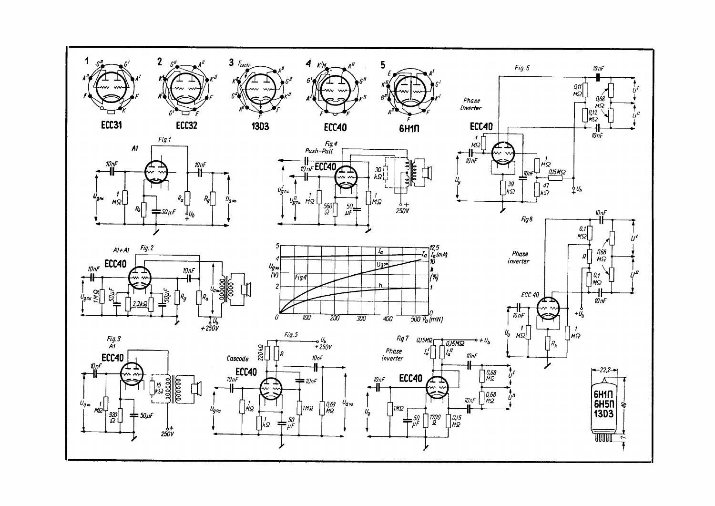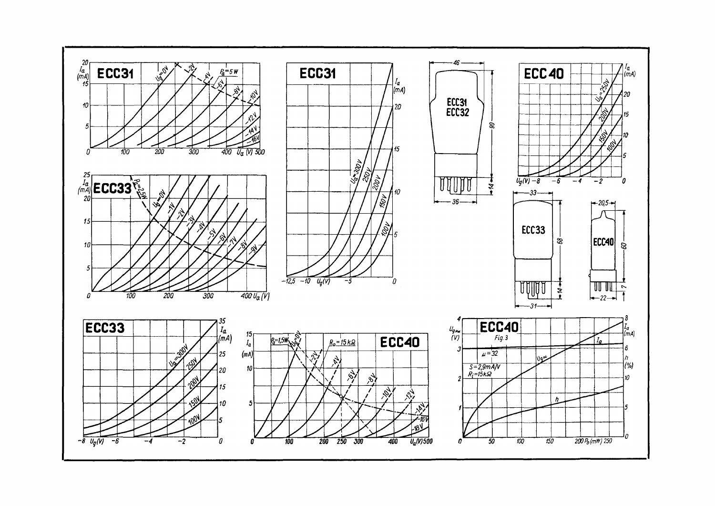